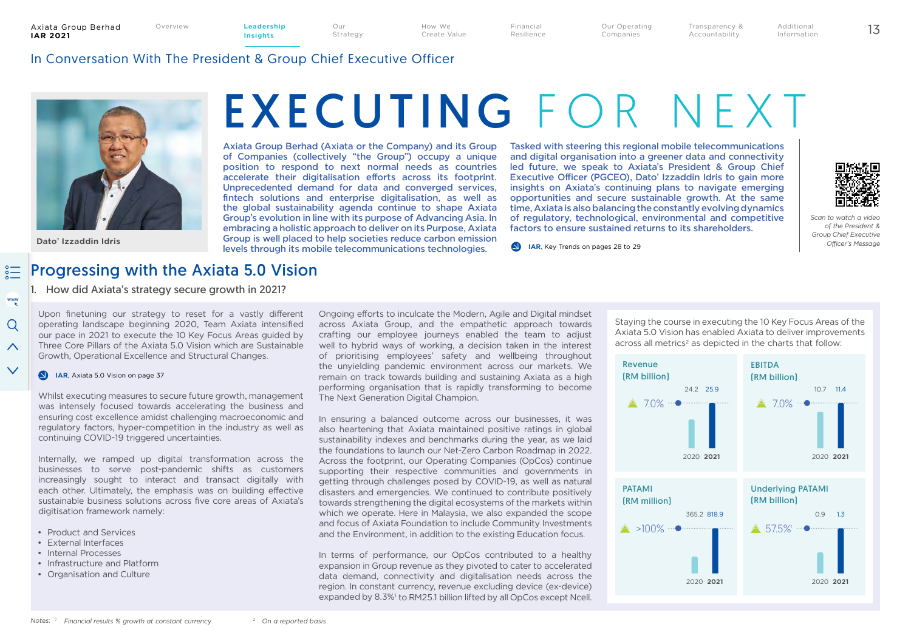How We

Create Value

Financial Resilience

Our Operating Companies Overview 13 **Leadership** 

Additional Information

Transparency & Accountability

## In Conversation With The President & Group Chief Executive Officer



**Dato' Izzaddin Idris** 

www

 $\Omega$ 

 $\wedge$ 

 $\checkmark$ 

# EXECUTING FOR NEXT

Axiata Group Berhad (Axiata or the Company) and its Group of Companies (collectively "the Group") occupy a unique position to respond to next normal needs as countries accelerate their digitalisation efforts across its footprint. Unprecedented demand for data and converged services, fintech solutions and enterprise digitalisation, as well as the global sustainability agenda continue to shape Axiata Group's evolution in line with its purpose of Advancing Asia. In embracing a holistic approach to deliver on its Purpose, Axiata Group is well placed to help societies reduce carbon emission levels through its mobile telecommunications technologies.

Our Strategy

> Tasked with steering this regional mobile telecommunications and digital organisation into a greener data and connectivity led future, we speak to Axiata's President & Group Chief Executive Officer (PGCEO), Dato' Izzaddin Idris to gain more insights on Axiata's continuing plans to navigate emerging opportunities and secure sustainable growth. At the same time, Axiata is also balancing the constantly evolving dynamics of regulatory, technological, environmental and competitive factors to ensure sustained returns to its shareholders.



*Scan to watch a video of the President & Group Chief Executive Officer's Message*

**IAR, Key Trends on pages 28 to 29** 

#### Progressing with the Axiata 5.0 Vision  $rac{1}{20}$

1. How did Axiata's strategy secure growth in 2021?

Upon finetuning our strategy to reset for a vastly different operating landscape beginning 2020, Team Axiata intensified our pace in 2021 to execute the 10 Key Focus Areas guided by Three Core Pillars of the Axiata 5.0 Vision which are Sustainable Growth, Operational Excellence and Structural Changes.

#### **IAR**, Axiata 5.0 Vision on page 37

Whilst executing measures to secure future growth, management was intensely focused towards accelerating the business and ensuring cost excellence amidst challenging macroeconomic and regulatory factors, hyper-competition in the industry as well as continuing COVID-19 triggered uncertainties.

Internally, we ramped up digital transformation across the businesses to serve post-pandemic shifts as customers increasingly sought to interact and transact digitally with each other. Ultimately, the emphasis was on building effective sustainable business solutions across five core areas of Axiata's digitisation framework namely:

- Product and Services
- External Interfaces
- Internal Processes
- Infrastructure and Platform
- Organisation and Culture

Ongoing efforts to inculcate the Modern, Agile and Digital mindset across Axiata Group, and the empathetic approach towards crafting our employee journeys enabled the team to adjust well to hybrid ways of working, a decision taken in the interest of prioritising employees' safety and wellbeing throughout the unyielding pandemic environment across our markets. We remain on track towards building and sustaining Axiata as a high performing organisation that is rapidly transforming to become The Next Generation Digital Champion.

In ensuring a balanced outcome across our businesses, it was also heartening that Axiata maintained positive ratings in global sustainability indexes and benchmarks during the year, as we laid the foundations to launch our Net-Zero Carbon Roadmap in 2022. Across the footprint, our Operating Companies (OpCos) continue supporting their respective communities and governments in getting through challenges posed by COVID-19, as well as natural disasters and emergencies. We continued to contribute positively towards strengthening the digital ecosystems of the markets within which we operate. Here in Malaysia, we also expanded the scope and focus of Axiata Foundation to include Community Investments and the Environment, in addition to the existing Education focus.

In terms of performance, our OpCos contributed to a healthy expansion in Group revenue as they pivoted to cater to accelerated data demand, connectivity and digitalisation needs across the region. In constant currency, revenue excluding device (ex-device) expanded by 8.3%<sup>1</sup> to RM25.1 billion lifted by all OpCos except Ncell.

Staying the course in executing the 10 Key Focus Areas of the Axiata 5.0 Vision has enabled Axiata to deliver improvements across all metrics<sup>2</sup> as depicted in the charts that follow:

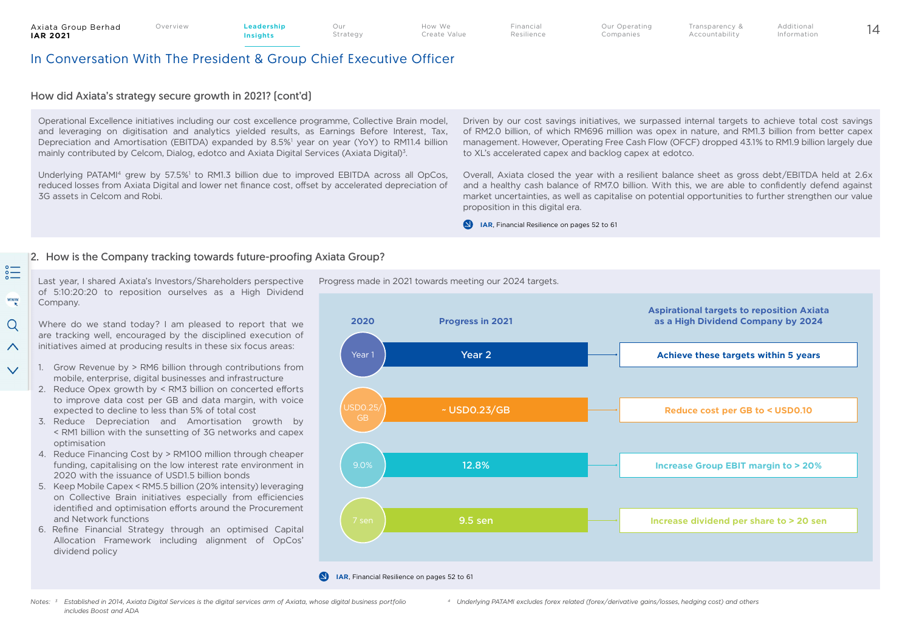$rac{1}{2}$ 

www

 $\Omega$ 

 $\curvearrowright$ 

 $\sqrt{}$ 

Our Strategy

## In Conversation With The President & Group Chief Executive Officer

## How did Axiata's strategy secure growth in 2021? (cont'd)

Operational Excellence initiatives including our cost excellence programme, Collective Brain model, and leveraging on digitisation and analytics yielded results, as Earnings Before Interest, Tax, Depreciation and Amortisation (EBITDA) expanded by 8.5%<sup>1</sup> year on year (YoY) to RM11.4 billion mainly contributed by Celcom, Dialog, edotco and Axiata Digital Services (Axiata Digital)3.

Underlying PATAMI<sup>4</sup> grew by 57.5%<sup>1</sup> to RM1.3 billion due to improved EBITDA across all OpCos, reduced losses from Axiata Digital and lower net finance cost, offset by accelerated depreciation of 3G assets in Celcom and Robi.

Driven by our cost savings initiatives, we surpassed internal targets to achieve total cost savings of RM2.0 billion, of which RM696 million was opex in nature, and RM1.3 billion from better capex management. However, Operating Free Cash Flow (OFCF) dropped 43.1% to RM1.9 billion largely due to XL's accelerated capex and backlog capex at edotco.

Transparency & Accountability

Overall, Axiata closed the year with a resilient balance sheet as gross debt/EBITDA held at 2.6x and a healthy cash balance of RM7.0 billion. With this, we are able to confidently defend against market uncertainties, as well as capitalise on potential opportunities to further strengthen our value proposition in this digital era.

**IAR**, Financial Resilience on pages 52 to 61

#### 2. How is the Company tracking towards future-proofing Axiata Group?

Last year, I shared Axiata's Investors/Shareholders perspective of 5:10:20:20 to reposition ourselves as a High Dividend Company.

Where do we stand today? I am pleased to report that we are tracking well, encouraged by the disciplined execution of initiatives aimed at producing results in these six focus areas:

- 1. Grow Revenue by > RM6 billion through contributions from mobile, enterprise, digital businesses and infrastructure
- 2. Reduce Opex growth by < RM3 billion on concerted efforts to improve data cost per GB and data margin, with voice expected to decline to less than 5% of total cost
- 3. Reduce Depreciation and Amortisation growth by < RM1 billion with the sunsetting of 3G networks and capex optimisation
- 4. Reduce Financing Cost by > RM100 million through cheaper funding, capitalising on the low interest rate environment in 2020 with the issuance of USD1.5 billion bonds
- 5. Keep Mobile Capex < RM5.5 billion (20% intensity) leveraging on Collective Brain initiatives especially from efficiencies identified and optimisation efforts around the Procurement and Network functions
- 6. Refine Financial Strategy through an optimised Capital Allocation Framework including alignment of OpCos' dividend policy

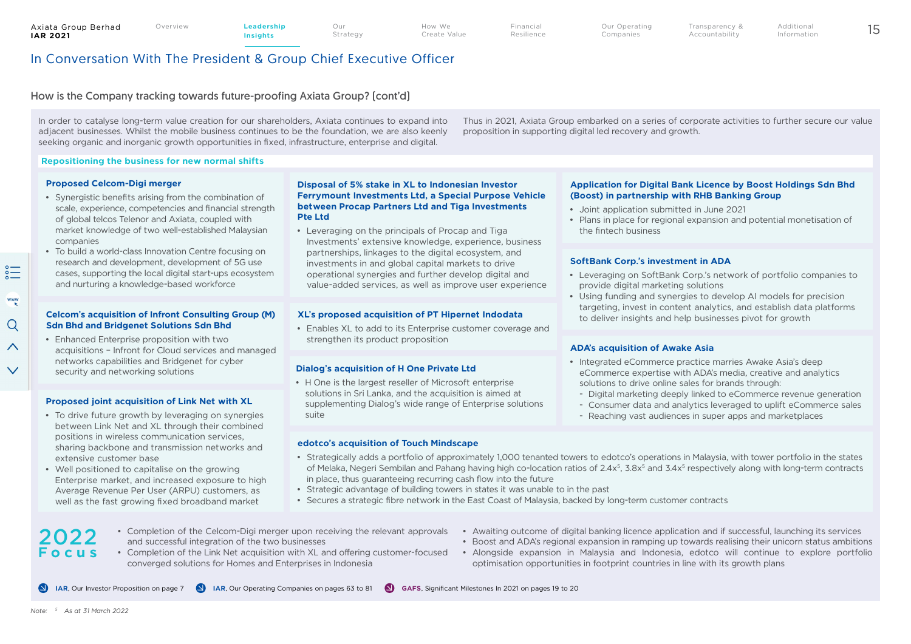2022

 $\sum_{\alpha=0}^{\infty}$ 

www

 $\Omega$  $\wedge$ 

 $\checkmark$ 

#### Axiata Group Berhad **IAR 2021**

**Insights**

Strategy

Our

How We Create Value Financial Resilience

Our Operating Companies Overview 15 **Leadership** 

Additional Information

## In Conversation With The President & Group Chief Executive Officer

#### How is the Company tracking towards future-proofing Axiata Group? (cont'd)

In order to catalyse long-term value creation for our shareholders, Axiata continues to expand into adjacent businesses. Whilst the mobile business continues to be the foundation, we are also keenly seeking organic and inorganic growth opportunities in fixed, infrastructure, enterprise and digital.

#### **Repositioning the business for new normal shifts**

#### **Proposed Celcom-Digi merger**

- Synergistic benefits arising from the combination of scale, experience, competencies and financial strength of global telcos Telenor and Axiata, coupled with market knowledge of two well-established Malaysian companies
- To build a world-class Innovation Centre focusing on research and development, development of 5G use cases, supporting the local digital start-ups ecosystem and nurturing a knowledge-based workforce

#### **Celcom's acquisition of Infront Consulting Group (M) Sdn Bhd and Bridgenet Solutions Sdn Bhd**

• Enhanced Enterprise proposition with two acquisitions – Infront for Cloud services and managed networks capabilities and Bridgenet for cyber security and networking solutions **Dialog's acquisition of H One Private Ltd**

#### **Proposed joint acquisition of Link Net with XL**

- To drive future growth by leveraging on synergies between Link Net and XL through their combined positions in wireless communication services, sharing backbone and transmission networks and extensive customer base
- Well positioned to capitalise on the growing Enterprise market, and increased exposure to high Average Revenue Per User (ARPU) customers, as well as the fast growing fixed broadband market

#### **Disposal of 5% stake in XL to Indonesian Investor Ferrymount Investments Ltd, a Special Purpose Vehicle between Procap Partners Ltd and Tiga Investments Pte Ltd**

• Leveraging on the principals of Procap and Tiga Investments' extensive knowledge, experience, business partnerships, linkages to the digital ecosystem, and investments in and global capital markets to drive operational synergies and further develop digital and value-added services, as well as improve user experience

#### **XL's proposed acquisition of PT Hipernet Indodata**

• Enables XL to add to its Enterprise customer coverage and strengthen its product proposition

• H One is the largest reseller of Microsoft enterprise solutions in Sri Lanka, and the acquisition is aimed at supplementing Dialog's wide range of Enterprise solutions suite

#### **edotco's acquisition of Touch Mindscape**

#### Thus in 2021, Axiata Group embarked on a series of corporate activities to further secure our value proposition in supporting digital led recovery and growth.

#### **Application for Digital Bank Licence by Boost Holdings Sdn Bhd (Boost) in partnership with RHB Banking Group**

Transparency & Accountability

- Joint application submitted in June 2021
- Plans in place for regional expansion and potential monetisation of the fintech business

#### **SoftBank Corp.'s investment in ADA**

- Leveraging on SoftBank Corp.'s network of portfolio companies to provide digital marketing solutions
- Using funding and synergies to develop AI models for precision targeting, invest in content analytics, and establish data platforms to deliver insights and help businesses pivot for growth

#### **ADA's acquisition of Awake Asia**

- Integrated eCommerce practice marries Awake Asia's deep eCommerce expertise with ADA's media, creative and analytics solutions to drive online sales for brands through:
- Digital marketing deeply linked to eCommerce revenue generation
- Consumer data and analytics leveraged to uplift eCommerce sales
- Reaching vast audiences in super apps and marketplaces
- Strategically adds a portfolio of approximately 1,000 tenanted towers to edotco's operations in Malaysia, with tower portfolio in the states of Melaka, Negeri Sembilan and Pahang having high co-location ratios of 2.4x<sup>5</sup>, 3.8x<sup>5</sup> and 3.4x<sup>5</sup> respectively along with long-term contracts in place, thus guaranteeing recurring cash flow into the future
- Strategic advantage of building towers in states it was unable to in the past
- Secures a strategic fibre network in the East Coast of Malaysia, backed by long-term customer contracts
- Completion of the Celcom-Digi merger upon receiving the relevant approvals and successful integration of the two businesses **Focus**
	- Completion of the Link Net acquisition with XL and offering customer-focused converged solutions for Homes and Enterprises in Indonesia
- Awaiting outcome of digital banking licence application and if successful, launching its services
- Boost and ADA's regional expansion in ramping up towards realising their unicorn status ambitions
- Alongside expansion in Malaysia and Indonesia, edotco will continue to explore portfolio optimisation opportunities in footprint countries in line with its growth plans

**IAR**, Our Investor Proposition on page 7 **IAR**, Our Operating Companies on pages 63 to 81 **CAFS**, Significant Milestones In 2021 on pages 19 to 20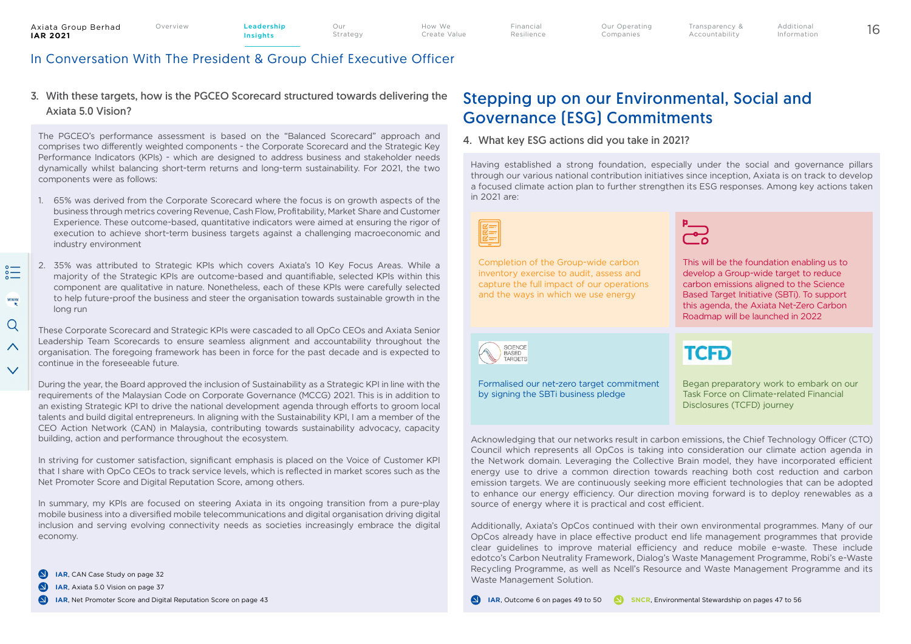Financial Resilience

## In Conversation With The President & Group Chief Executive Officer

#### 3. With these targets, how is the PGCEO Scorecard structured towards delivering the Axiata 5.0 Vision?

The PGCEO's performance assessment is based on the "Balanced Scorecard" approach and comprises two differently weighted components - the Corporate Scorecard and the Strategic Key Performance Indicators (KPIs) - which are designed to address business and stakeholder needs dynamically whilst balancing short-term returns and long-term sustainability. For 2021, the two components were as follows:

- 1. 65% was derived from the Corporate Scorecard where the focus is on growth aspects of the business through metrics covering Revenue, Cash Flow, Profitability, Market Share and Customer Experience. These outcome-based, quantitative indicators were aimed at ensuring the rigor of execution to achieve short-term business targets against a challenging macroeconomic and industry environment
- 2. 35% was attributed to Strategic KPIs which covers Axiata's 10 Key Focus Areas. While a majority of the Strategic KPIs are outcome-based and quantifiable, selected KPIs within this component are qualitative in nature. Nonetheless, each of these KPIs were carefully selected to help future-proof the business and steer the organisation towards sustainable growth in the long run

 $rac{1}{2}$ 

These Corporate Scorecard and Strategic KPIs were cascaded to all OpCo CEOs and Axiata Senior Leadership Team Scorecards to ensure seamless alignment and accountability throughout the organisation. The foregoing framework has been in force for the past decade and is expected to continue in the foreseeable future.

During the year, the Board approved the inclusion of Sustainability as a Strategic KPI in line with the requirements of the Malaysian Code on Corporate Governance (MCCG) 2021. This is in addition to an existing Strategic KPI to drive the national development agenda through efforts to groom local talents and build digital entrepreneurs. In aligning with the Sustainability KPI, I am a member of the CEO Action Network (CAN) in Malaysia, contributing towards sustainability advocacy, capacity building, action and performance throughout the ecosystem.

In striving for customer satisfaction, significant emphasis is placed on the Voice of Customer KPI that I share with OpCo CEOs to track service levels, which is reflected in market scores such as the Net Promoter Score and Digital Reputation Score, among others.

In summary, my KPIs are focused on steering Axiata in its ongoing transition from a pure-play mobile business into a diversified mobile telecommunications and digital organisation driving digital inclusion and serving evolving connectivity needs as societies increasingly embrace the digital economy.

- $\bullet$ **IAR**, CAN Case Study on page 32
- $\bullet$ **IAR**, Axiata 5.0 Vision on page 37
- $\bullet$ **IAR**, Net Promoter Score and Digital Reputation Score on page 43

## Stepping up on our Environmental, Social and Governance (ESG) Commitments

#### 4. What key ESG actions did you take in 2021?

Having established a strong foundation, especially under the social and governance pillars through our various national contribution initiatives since inception, Axiata is on track to develop a focused climate action plan to further strengthen its ESG responses. Among key actions taken in 2021 are:

Completion of the Group-wide carbon inventory exercise to audit, assess and capture the full impact of our operations and the ways in which we use energy



**TCFD** 

Transparency & Accountability

This will be the foundation enabling us to develop a Group-wide target to reduce carbon emissions aligned to the Science Based Target Initiative (SBTi). To support this agenda, the Axiata Net-Zero Carbon Roadmap will be launched in 2022

SCIENCE **RASED** TARGETS

Formalised our net-zero target commitment by signing the SBTi business pledge

Began preparatory work to embark on our Task Force on Climate-related Financial Disclosures (TCFD) journey

Acknowledging that our networks result in carbon emissions, the Chief Technology Officer (CTO) Council which represents all OpCos is taking into consideration our climate action agenda in the Network domain. Leveraging the Collective Brain model, they have incorporated efficient energy use to drive a common direction towards reaching both cost reduction and carbon emission targets. We are continuously seeking more efficient technologies that can be adopted to enhance our energy efficiency. Our direction moving forward is to deploy renewables as a source of energy where it is practical and cost efficient.

Additionally, Axiata's OpCos continued with their own environmental programmes. Many of our OpCos already have in place effective product end life management programmes that provide clear guidelines to improve material efficiency and reduce mobile e-waste. These include edotco's Carbon Neutrality Framework, Dialog's Waste Management Programme, Robi's e-Waste Recycling Programme, as well as Ncell's Resource and Waste Management Programme and its Waste Management Solution.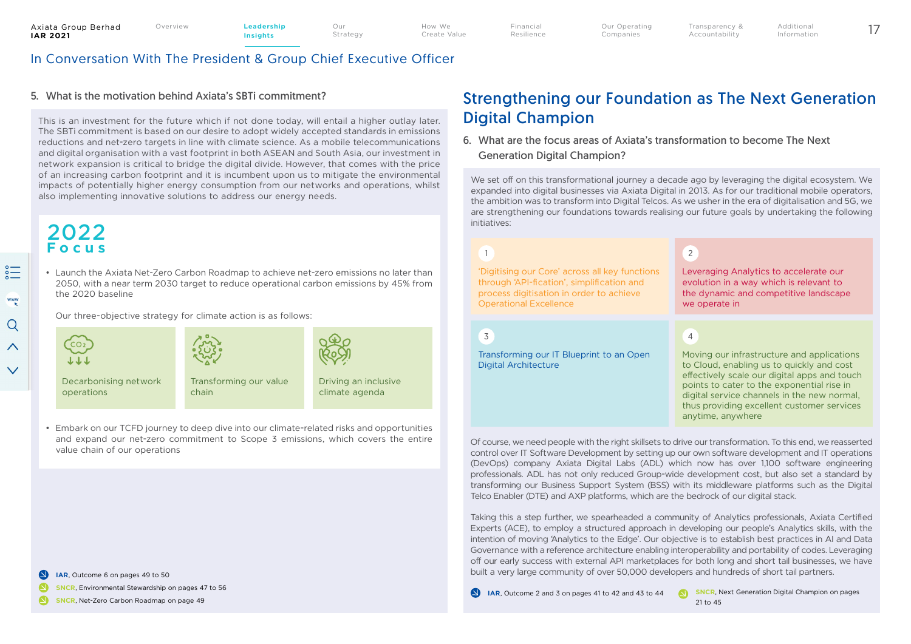How We Create Value

Our Strategy Financial Resilience

## In Conversation With The President & Group Chief Executive Officer

#### 5. What is the motivation behind Axiata's SBTi commitment?

This is an investment for the future which if not done today, will entail a higher outlay later. The SBTi commitment is based on our desire to adopt widely accepted standards in emissions reductions and net-zero targets in line with climate science. As a mobile telecommunications and digital organisation with a vast footprint in both ASEAN and South Asia, our investment in network expansion is critical to bridge the digital divide. However, that comes with the price of an increasing carbon footprint and it is incumbent upon us to mitigate the environmental impacts of potentially higher energy consumption from our networks and operations, whilst also implementing innovative solutions to address our energy needs.

## 2022 **Focus**

• Launch the Axiata Net-Zero Carbon Roadmap to achieve net-zero emissions no later than 2050, with a near term 2030 target to reduce operational carbon emissions by 45% from the 2020 baseline

Our three-objective strategy for climate action is as follows:



• Embark on our TCFD journey to deep dive into our climate-related risks and opportunities and expand our net-zero commitment to Scope 3 emissions, which covers the entire value chain of our operations

#### **IAR**, Outcome 6 on pages 49 to 50

Ω **SNCR**, Environmental Stewardship on pages 47 to 56

Ω **SNCR**, Net-Zero Carbon Roadmap on page 49

## Strengthening our Foundation as The Next Generation Digital Champion

Transparency & Accountability

#### 6. What are the focus areas of Axiata's transformation to become The Next Generation Digital Champion?

We set off on this transformational journey a decade ago by leveraging the digital ecosystem. We expanded into digital businesses via Axiata Digital in 2013. As for our traditional mobile operators, the ambition was to transform into Digital Telcos. As we usher in the era of digitalisation and 5G, we are strengthening our foundations towards realising our future goals by undertaking the following initiatives:

## 1

'Digitising our Core' across all key functions through 'API-fication', simplification and process digitisation in order to achieve Operational Excellence

3

Transforming our IT Blueprint to an Open Digital Architecture

## 2

Leveraging Analytics to accelerate our evolution in a way which is relevant to the dynamic and competitive landscape we operate in

## 4

Moving our infrastructure and applications to Cloud, enabling us to quickly and cost effectively scale our digital apps and touch points to cater to the exponential rise in digital service channels in the new normal, thus providing excellent customer services anytime, anywhere

Of course, we need people with the right skillsets to drive our transformation. To this end, we reasserted control over IT Software Development by setting up our own software development and IT operations (DevOps) company Axiata Digital Labs (ADL) which now has over 1,100 software engineering professionals. ADL has not only reduced Group-wide development cost, but also set a standard by transforming our Business Support System (BSS) with its middleware platforms such as the Digital Telco Enabler (DTE) and AXP platforms, which are the bedrock of our digital stack.

Taking this a step further, we spearheaded a community of Analytics professionals, Axiata Certified Experts (ACE), to employ a structured approach in developing our people's Analytics skills, with the intention of moving 'Analytics to the Edge'. Our objective is to establish best practices in AI and Data Governance with a reference architecture enabling interoperability and portability of codes. Leveraging off our early success with external API marketplaces for both long and short tail businesses, we have built a very large community of over 50,000 developers and hundreds of short tail partners.

**SNCR, Next Generation Digital Champion on pages IAR**, Outcome 2 and 3 on pages 41 to 42 and 43 to 44  $\blacksquare$ 21 to 45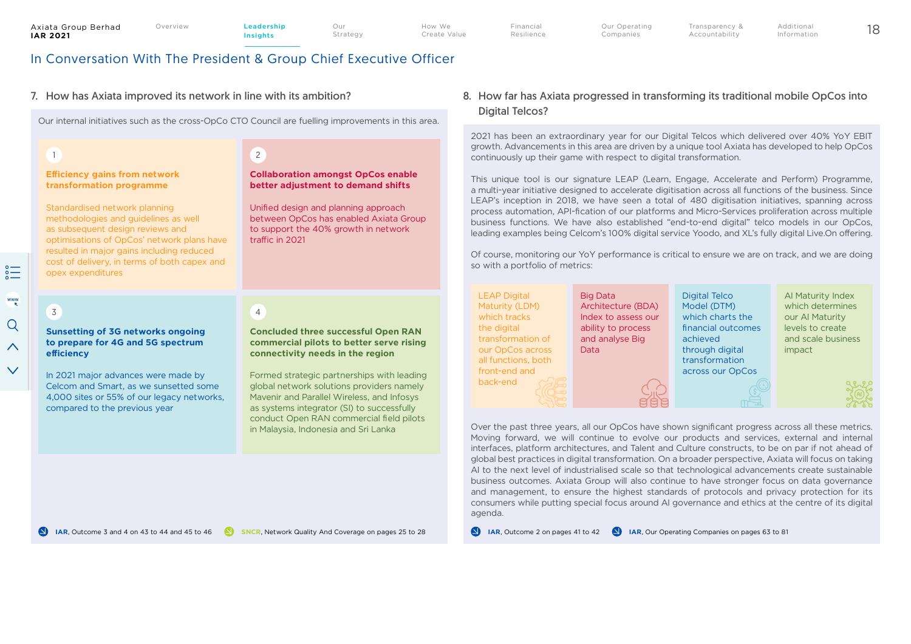Financial Resilience Transparency & Accountability

## In Conversation With The President & Group Chief Executive Officer

#### 7. How has Axiata improved its network in line with its ambition?

Our internal initiatives such as the cross-OpCo CTO Council are fuelling improvements in this area.

#### 1

#### **Efficiency gains from network transformation programme**

Standardised network planning methodologies and guidelines as well as subsequent design reviews and optimisations of OpCos' network plans have resulted in major gains including reduced cost of delivery, in terms of both capex and opex expenditures

# 2

4

**Collaboration amongst OpCos enable better adjustment to demand shifts**

Our Strategy

Unified design and planning approach between OpCos has enabled Axiata Group to support the 40% growth in network traffic in 2021

#### 8. How far has Axiata progressed in transforming its traditional mobile OpCos into Digital Telcos?

2021 has been an extraordinary year for our Digital Telcos which delivered over 40% YoY EBIT growth. Advancements in this area are driven by a unique tool Axiata has developed to help OpCos continuously up their game with respect to digital transformation.

This unique tool is our signature LEAP (Learn, Engage, Accelerate and Perform) Programme, a multi-year initiative designed to accelerate digitisation across all functions of the business. Since LEAP's inception in 2018, we have seen a total of 480 digitisation initiatives, spanning across process automation, API-fication of our platforms and Micro-Services proliferation across multiple business functions. We have also established "end-to-end digital" telco models in our OpCos, leading examples being Celcom's 100% digital service Yoodo, and XL's fully digital Live.On offering.

Of course, monitoring our YoY performance is critical to ensure we are on track, and we are doing so with a portfolio of metrics:

> Digital Telco Model (DTM) which charts the

achieved through digital transformation across our OpCos

LEAP Digital Maturity (LDM) which tracks the digital transformation of our OpCos across all functions, both front-end and back-end

Big Data Architecture (BDA) Index to assess our ability to process and analyse Big Data

financial outcomes AI Maturity Index which determines our AI Maturity levels to create and scale business impact

Over the past three years, all our OpCos have shown significant progress across all these metrics. Moving forward, we will continue to evolve our products and services, external and internal interfaces, platform architectures, and Talent and Culture constructs, to be on par if not ahead of global best practices in digital transformation. On a broader perspective, Axiata will focus on taking AI to the next level of industrialised scale so that technological advancements create sustainable business outcomes. Axiata Group will also continue to have stronger focus on data governance and management, to ensure the highest standards of protocols and privacy protection for its consumers while putting special focus around AI governance and ethics at the centre of its digital agenda.

**IAR**, Outcome 2 on pages 41 to 42 **IAR**, Our Operating Companies on pages 63 to 81

## **Sunsetting of 3G networks ongoing**  3

**to prepare for 4G and 5G spectrum efficiency**

In 2021 major advances were made by Celcom and Smart, as we sunsetted some 4,000 sites or 55% of our legacy networks, compared to the previous year

#### **Concluded three successful Open RAN commercial pilots to better serve rising connectivity needs in the region**

Formed strategic partnerships with leading global network solutions providers namely Mavenir and Parallel Wireless, and Infosys as systems integrator (SI) to successfully conduct Open RAN commercial field pilots in Malaysia, Indonesia and Sri Lanka

**IAR**, Outcome 3 and 4 on 43 to 44 and 45 to 46

 $\sum_{\alpha=0}^{\infty}$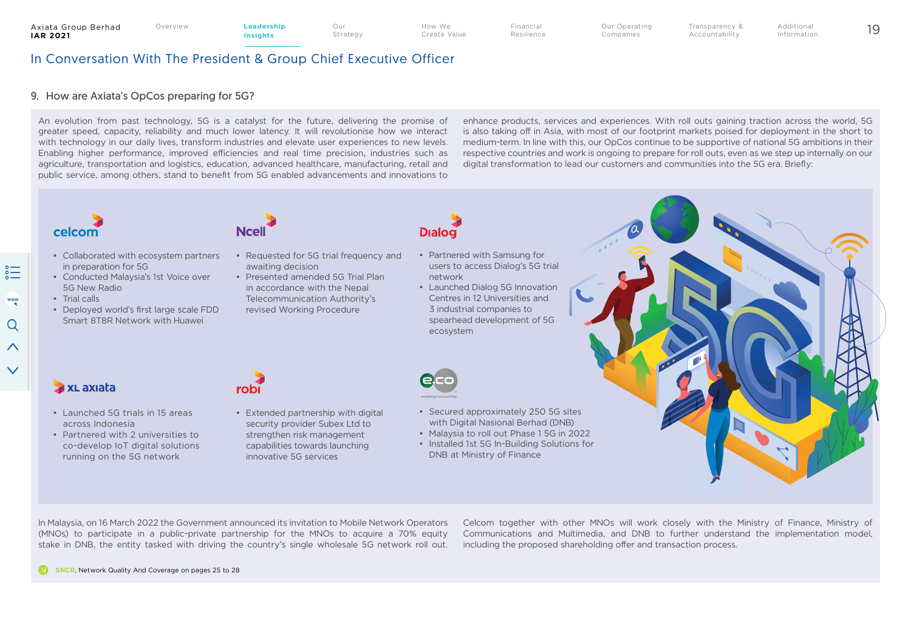How We Create Value Financial Resilience

Our Operating Companies Overview 19 **Leadership** 

Transparency & Additional Information

Accountability

In Conversation With The President & Group Chief Executive Officer

#### 9. How are Axiata's OpCos preparing for 5G?

An evolution from past technology, 5G is a catalyst for the future, delivering the promise of greater speed, capacity, reliability and much lower latency. It will revolutionise how we interact with technology in our daily lives, transform industries and elevate user experiences to new levels. Enabling higher performance, improved efficiencies and real time precision, industries such as agriculture, transportation and logistics, education, advanced healthcare, manufacturing, retail and public service, among others, stand to benefit from 5G enabled advancements and innovations to enhance products, services and experiences. With roll outs gaining traction across the world, 5G is also taking off in Asia, with most of our footprint markets poised for deployment in the short to medium-term. In line with this, our OpCos continue to be supportive of national 5G ambitions in their respective countries and work is ongoing to prepare for roll outs, even as we step up internally on our digital transformation to lead our customers and communities into the 5G era. Briefly:

# celcom

- Collaborated with ecosystem partners in preparation for 5G
- Conducted Malaysia's 1st Voice over 5G New Radio
- Trial calls
- Deployed world's first large scale FDD Smart 8T8R Network with Huawei



- Requested for 5G trial frequency and awaiting decision
- Presented amended 5G Trial Plan in accordance with the Nepal Telecommunication Authority's revised Working Procedure
- **Dialog**
- Partnered with Samsung for users to access Dialog's 5G trial network
- Launched Dialog 5G Innovation Centres in 12 Universities and 3 industrial companies to spearhead development of 5G ecosystem



- Extended partnership with digital security provider Subex Ltd to strengthen risk management capabilities towards launching innovative 5G services
- 
- Secured approximately 250 5G sites with Digital Nasional Berhad (DNB)
- Malaysia to roll out Phase 1 5G in 2022
- Installed 1st 5G In-Building Solutions for DNB at Ministry of Finance

## **Ax** Laxiata

- Launched 5G trials in 15 areas across Indonesia
- Partnered with 2 universities to co-develop IoT digital solutions running on the 5G network

In Malaysia, on 16 March 2022 the Government announced its invitation to Mobile Network Operators (MNOs) to participate in a public-private partnership for the MNOs to acquire a 70% equity

stake in DNB, the entity tasked with driving the country's single wholesale 5G network roll out.

robi

Celcom together with other MNOs will work closely with the Ministry of Finance, Ministry of Communications and Multimedia, and DNB to further understand the implementation model, including the proposed shareholding offer and transaction process.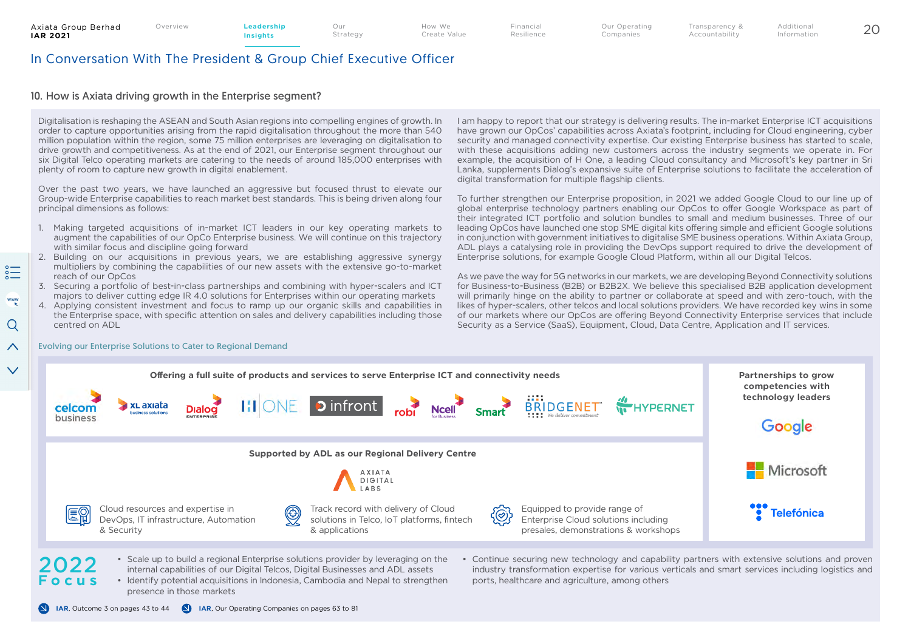Our

## In Conversation With The President & Group Chief Executive Officer

#### 10. How is Axiata driving growth in the Enterprise seament?

Digitalisation is reshaping the ASEAN and South Asian regions into compelling engines of growth. In order to capture opportunities arising from the rapid digitalisation throughout the more than 540 million population within the region, some 75 million enterprises are leveraging on digitalisation to drive growth and competitiveness. As at the end of 2021, our Enterprise segment throughout our six Digital Telco operating markets are catering to the needs of around 185,000 enterprises with plenty of room to capture new growth in digital enablement.

Over the past two years, we have launched an aggressive but focused thrust to elevate our Group-wide Enterprise capabilities to reach market best standards. This is being driven along four principal dimensions as follows:

- 1. Making targeted acquisitions of in-market ICT leaders in our key operating markets to augment the capabilities of our OpCo Enterprise business. We will continue on this trajectory with similar focus and discipline going forward
- 2. Building on our acquisitions in previous years, we are establishing aggressive synergy multipliers by combining the capabilities of our new assets with the extensive go-to-market reach of our OpCos
- 3. Securing a portfolio of best-in-class partnerships and combining with hyper-scalers and ICT majors to deliver cutting edge IR 4.0 solutions for Enterprises within our operating markets
- 4. Applying consistent investment and focus to ramp up our organic skills and capabilities in the Enterprise space, with specific attention on sales and delivery capabilities including those centred on ADL

I am happy to report that our strategy is delivering results. The in-market Enterprise ICT acquisitions have grown our OpCos' capabilities across Axiata's footprint, including for Cloud engineering, cyber security and managed connectivity expertise. Our existing Enterprise business has started to scale, with these acquisitions adding new customers across the industry segments we operate in. For example, the acquisition of H One, a leading Cloud consultancy and Microsoft's key partner in Sri Lanka, supplements Dialog's expansive suite of Enterprise solutions to facilitate the acceleration of digital transformation for multiple flagship clients.

Transparency & Accountability

To further strengthen our Enterprise proposition, in 2021 we added Google Cloud to our line up of global enterprise technology partners enabling our OpCos to offer Google Workspace as part of their integrated ICT portfolio and solution bundles to small and medium businesses. Three of our leading OpCos have launched one stop SME digital kits offering simple and efficient Google solutions in conjunction with government initiatives to digitalise SME business operations. Within Axiata Group, ADL plays a catalysing role in providing the DevOps support required to drive the development of Enterprise solutions, for example Google Cloud Platform, within all our Digital Telcos.

As we pave the way for 5G networks in our markets, we are developing Beyond Connectivity solutions for Business-to-Business (B2B) or B2B2X. We believe this specialised B2B application development will primarily hinge on the ability to partner or collaborate at speed and with zero-touch, with the likes of hyper-scalers, other telcos and local solutions providers. We have recorded key wins in some of our markets where our OpCos are offering Beyond Connectivity Enterprise services that include Security as a Service (SaaS), Equipment, Cloud, Data Centre, Application and IT services.



• Identify potential acquisitions in Indonesia, Cambodia and Nepal to strengthen presence in those markets

**IAR**, Outcome 3 on pages 43 to 44 **IAR**, Our Operating Companies on pages 63 to 81

industry transformation expertise for various verticals and smart services including logistics and ports, healthcare and agriculture, among others

#### $\curvearrowright$ Evolving our Enterprise Solutions to Cater to Regional Demand

 $\checkmark$ 

 $\sum_{\alpha=0}^{\infty}$ 

www

Q

**Focus**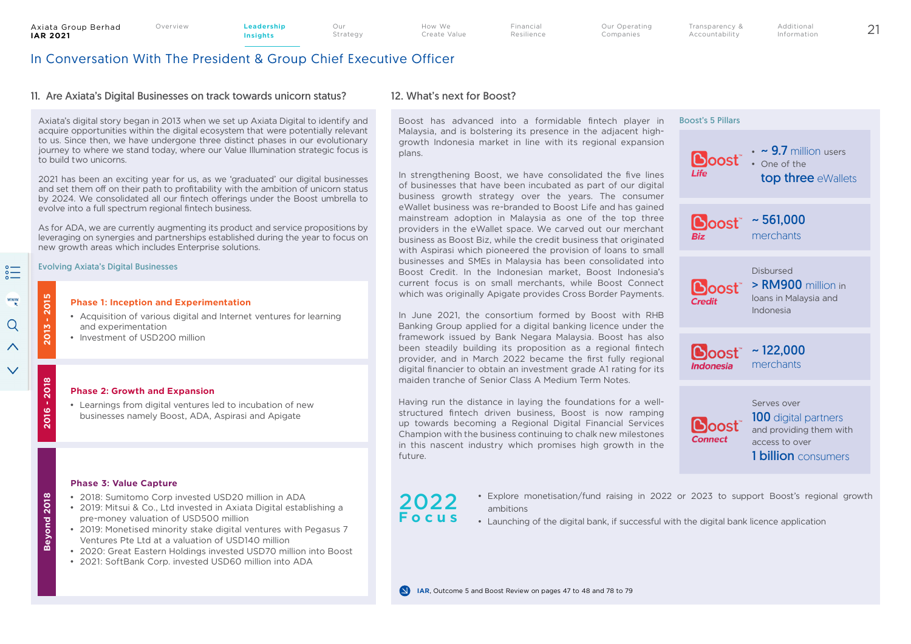Our

How We Create Value Financial Resilience Transparency & Accountability

## In Conversation With The President & Group Chief Executive Officer

#### 11. Are Axiata's Digital Businesses on track towards unicorn status?

Axiata's digital story began in 2013 when we set up Axiata Digital to identify and acquire opportunities within the digital ecosystem that were potentially relevant to us. Since then, we have undergone three distinct phases in our evolutionary journey to where we stand today, where our Value Illumination strategic focus is to build two unicorns.

2021 has been an exciting year for us, as we 'graduated' our digital businesses and set them off on their path to profitability with the ambition of unicorn status by 2024. We consolidated all our fintech offerings under the Boost umbrella to evolve into a full spectrum regional fintech business.

As for ADA, we are currently augmenting its product and service propositions by leveraging on synergies and partnerships established during the year to focus on new growth areas which includes Enterprise solutions.

#### Evolving Axiata's Digital Businesses

#### **Phase 1: Inception and Experimentation**

- Acquisition of various digital and Internet ventures for learning and experimentation
- Investment of USD200 million

#### **Phase 2: Growth and Expansion**

• Learnings from digital ventures led to incubation of new businesses namely Boost, ADA, Aspirasi and Apigate

#### **Phase 3: Value Capture**

- 2018: Sumitomo Corp invested USD20 million in ADA
- 2019: Mitsui & Co., Ltd invested in Axiata Digital establishing a pre-money valuation of USD500 million
- 2019: Monetised minority stake digital ventures with Pegasus 7 Ventures Pte Ltd at a valuation of USD140 million
- 2020: Great Eastern Holdings invested USD70 million into Boost
- 2021: SoftBank Corp. invested USD60 million into ADA

### 12. What's next for Boost?

Boost has advanced into a formidable fintech player in Malaysia, and is bolstering its presence in the adjacent highgrowth Indonesia market in line with its regional expansion plans.

In strengthening Boost, we have consolidated the five lines of businesses that have been incubated as part of our digital business growth strategy over the years. The consumer eWallet business was re-branded to Boost Life and has gained mainstream adoption in Malaysia as one of the top three providers in the eWallet space. We carved out our merchant business as Boost Biz, while the credit business that originated with Aspirasi which pioneered the provision of loans to small businesses and SMEs in Malaysia has been consolidated into Boost Credit. In the Indonesian market, Boost Indonesia's current focus is on small merchants, while Boost Connect which was originally Apigate provides Cross Border Payments.

In June 2021, the consortium formed by Boost with RHB Banking Group applied for a digital banking licence under the framework issued by Bank Negara Malaysia. Boost has also been steadily building its proposition as a regional fintech provider, and in March 2022 became the first fully regional digital financier to obtain an investment grade A1 rating for its maiden tranche of Senior Class A Medium Term Notes.

Having run the distance in laying the foundations for a wellstructured fintech driven business, Boost is now ramping up towards becoming a Regional Digital Financial Services Champion with the business continuing to chalk new milestones in this nascent industry which promises high growth in the future.



1 **billion** consumers

2022 **Focus**

- Explore monetisation/fund raising in 2022 or 2023 to support Boost's regional growth ambitions
- Launching of the digital bank, if successful with the digital bank licence application

www Q  $\curvearrowright$ 

 $\checkmark$ 

 $\sum_{\alpha=0}^{\infty}$ 

**2013 - 2015**

013

2015

**2016 - 2018**

2016 - 2018

**Beyond 2018**

Beyond 2018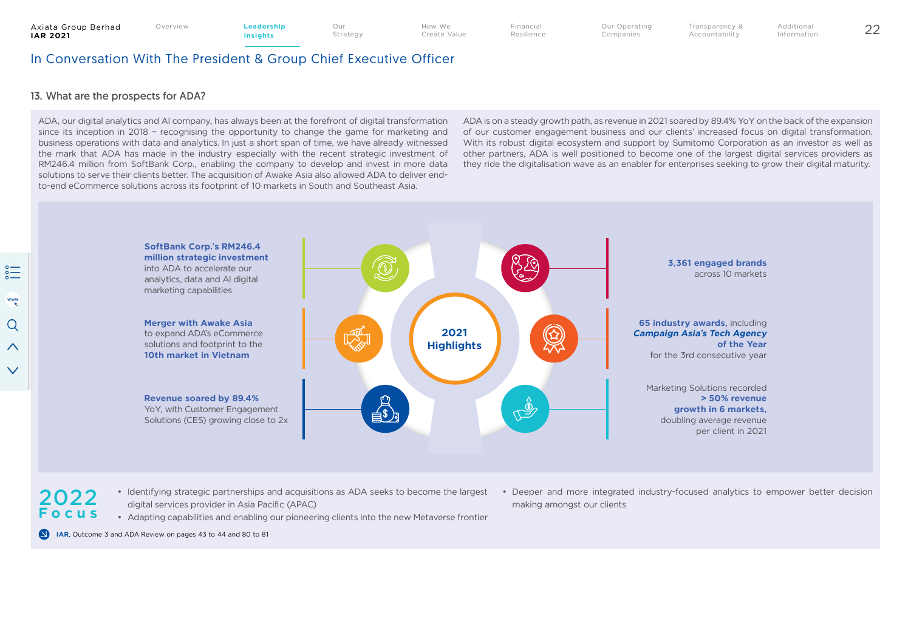Create Value

Financial Resilience Our Operating Companies

Transparency & Accountability Overview 22 **Leadership** 

Additional Information

## In Conversation With The President & Group Chief Executive Officer

#### 13. What are the prospects for ADA?

ADA, our digital analytics and AI company, has always been at the forefront of digital transformation since its inception in 2018 – recognising the opportunity to change the game for marketing and business operations with data and analytics. In just a short span of time, we have already witnessed the mark that ADA has made in the industry especially with the recent strategic investment of RM246.4 million from SoftBank Corp., enabling the company to develop and invest in more data solutions to serve their clients better. The acquisition of Awake Asia also allowed ADA to deliver endto-end eCommerce solutions across its footprint of 10 markets in South and Southeast Asia.

ADA is on a steady growth path, as revenue in 2021 soared by 89.4% YoY on the back of the expansion of our customer engagement business and our clients' increased focus on digital transformation. With its robust digital ecosystem and support by Sumitomo Corporation as an investor as well as other partners, ADA is well positioned to become one of the largest digital services providers as they ride the digitalisation wave as an enabler for enterprises seeking to grow their digital maturity.



- 2022 **Focus**
- Identifying strategic partnerships and acquisitions as ADA seeks to become the largest digital services provider in Asia Pacific (APAC)

• Adapting capabilities and enabling our pioneering clients into the new Metaverse frontier

• Deeper and more integrated industry-focused analytics to empower better decision making amongst our clients

 $\Omega$ **IAR**, Outcome 3 and ADA Review on pages 43 to 44 and 80 to 81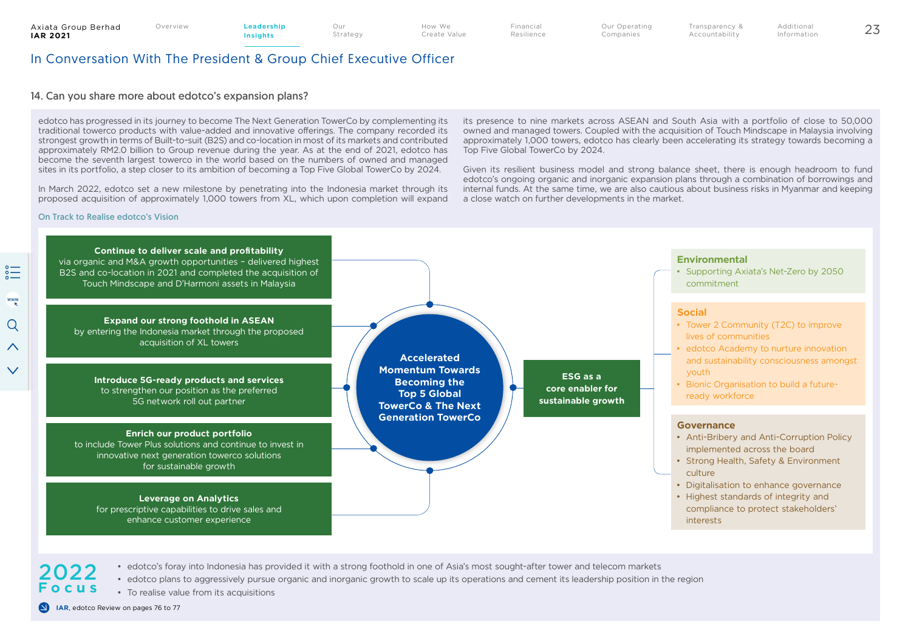Financial Resilience

## In Conversation With The President & Group Chief Executive Officer

#### 14. Can you share more about edotco's expansion plans?

edotco has progressed in its journey to become The Next Generation TowerCo by complementing its traditional towerco products with value-added and innovative offerings. The company recorded its strongest growth in terms of Built-to-suit (B2S) and co-location in most of its markets and contributed approximately RM2.0 billion to Group revenue during the year. As at the end of 2021, edotco has become the seventh largest towerco in the world based on the numbers of owned and managed sites in its portfolio, a step closer to its ambition of becoming a Top Five Global TowerCo by 2024.

In March 2022, edotco set a new milestone by penetrating into the Indonesia market through its proposed acquisition of approximately 1,000 towers from XL, which upon completion will expand

On Track to Realise edotco's Vision

its presence to nine markets across ASEAN and South Asia with a portfolio of close to 50,000 owned and managed towers. Coupled with the acquisition of Touch Mindscape in Malaysia involving approximately 1,000 towers, edotco has clearly been accelerating its strategy towards becoming a Top Five Global TowerCo by 2024.

Transparency & Accountability

Given its resilient business model and strong balance sheet, there is enough headroom to fund edotco's ongoing organic and inorganic expansion plans through a combination of borrowings and internal funds. At the same time, we are also cautious about business risks in Myanmar and keeping a close watch on further developments in the market.



• edotco's foray into Indonesia has provided it with a strong foothold in one of Asia's most sought-after tower and telecom markets

- edotco plans to aggressively pursue organic and inorganic growth to scale up its operations and cement its leadership position in the region **Focus**
	- To realise value from its acquisitions

**IAR**, edotco Review on pages 76 to 77

2022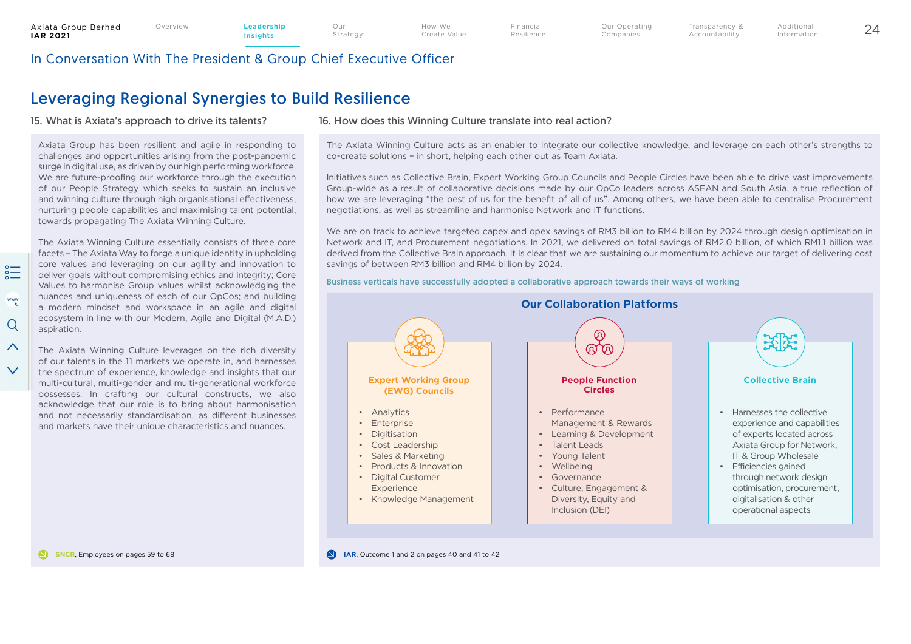$\sum_{\alpha=0}^{\infty}$ 

www

Q

 $\wedge$ 

 $\vee$ 

Our Strategy Transparency & Accountability

## In Conversation With The President & Group Chief Executive Officer

# Leveraging Regional Synergies to Build Resilience

#### 15. What is Axiata's approach to drive its talents?

Axiata Group has been resilient and agile in responding to challenges and opportunities arising from the post-pandemic surge in digital use, as driven by our high performing workforce. We are future-proofing our workforce through the execution of our People Strategy which seeks to sustain an inclusive and winning culture through high organisational effectiveness, nurturing people capabilities and maximising talent potential, towards propagating The Axiata Winning Culture.

The Axiata Winning Culture essentially consists of three core facets – The Axiata Way to forge a unique identity in upholding core values and leveraging on our agility and innovation to deliver goals without compromising ethics and integrity; Core Values to harmonise Group values whilst acknowledging the nuances and uniqueness of each of our OpCos; and building a modern mindset and workspace in an agile and digital ecosystem in line with our Modern, Agile and Digital (M.A.D.) aspiration.

The Axiata Winning Culture leverages on the rich diversity of our talents in the 11 markets we operate in, and harnesses the spectrum of experience, knowledge and insights that our multi-cultural, multi-gender and multi-generational workforce possesses. In crafting our cultural constructs, we also acknowledge that our role is to bring about harmonisation and not necessarily standardisation, as different businesses and markets have their unique characteristics and nuances.

#### 16. How does this Winning Culture translate into real action?

The Axiata Winning Culture acts as an enabler to integrate our collective knowledge, and leverage on each other's strengths to co-create solutions – in short, helping each other out as Team Axiata.

Initiatives such as Collective Brain, Expert Working Group Councils and People Circles have been able to drive vast improvements Group-wide as a result of collaborative decisions made by our OpCo leaders across ASEAN and South Asia, a true reflection of how we are leveraging "the best of us for the benefit of all of us". Among others, we have been able to centralise Procurement negotiations, as well as streamline and harmonise Network and IT functions.

We are on track to achieve targeted capex and opex savings of RM3 billion to RM4 billion by 2024 through design optimisation in Network and IT, and Procurement negotiations. In 2021, we delivered on total savings of RM2.0 billion, of which RM1.1 billion was derived from the Collective Brain approach. It is clear that we are sustaining our momentum to achieve our target of delivering cost savings of between RM3 billion and RM4 billion by 2024.

Business verticals have successfully adopted a collaborative approach towards their ways of working



**SNCR, Employees on pages 59 to 68 ICC ICC ICC ICC ICC ICC ICC ICC ICC ICC ICC ICC ICC ICC ICC ICC ICC ICC ICC ICC ICC ICC ICC ICC ICC ICC ICC ICC ICC ICC ICC**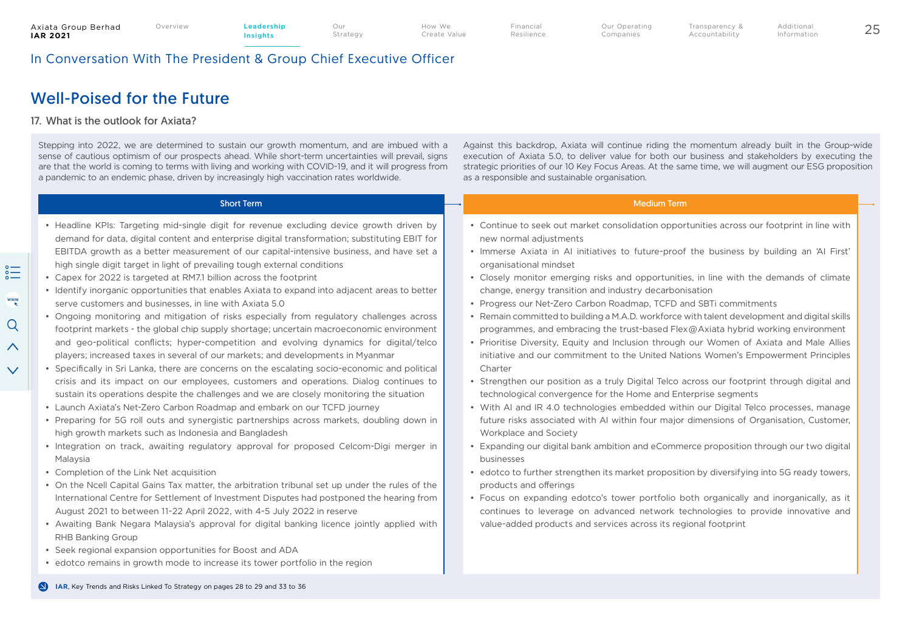How We Create Value Financial Resilience Transparency & Accountability

In Conversation With The President & Group Chief Executive Officer

## Well-Poised for the Future

#### 17. What is the outlook for Axiata?

Stepping into 2022, we are determined to sustain our growth momentum, and are imbued with a sense of cautious optimism of our prospects ahead. While short-term uncertainties will prevail, signs are that the world is coming to terms with living and working with COVID-19, and it will progress from a pandemic to an endemic phase, driven by increasingly high vaccination rates worldwide.

Against this backdrop, Axiata will continue riding the momentum already built in the Group-wide execution of Axiata 5.0, to deliver value for both our business and stakeholders by executing the strategic priorities of our 10 Key Focus Areas. At the same time, we will augment our ESG proposition as a responsible and sustainable organisation.

| • Headline KPIs: Targeting mid-single digit for revenue excluding device growth driven by<br>demand for data, digital content and enterprise digital transformation; substituting EBIT for<br>new normal adjustments<br>EBITDA growth as a better measurement of our capital-intensive business, and have set a<br>high single digit target in light of prevailing tough external conditions<br>organisational mindset<br>• Capex for 2022 is targeted at RM7.1 billion across the footprint<br>• Identify inorganic opportunities that enables Axiata to expand into adjacent areas to better<br>change, energy transition and industry decarbonisation<br>serve customers and businesses, in line with Axiata 5.0<br>• Progress our Net-Zero Carbon Roadmap, TCFD and SBTi commitments<br>• Ongoing monitoring and mitigation of risks especially from regulatory challenges across<br>programmes, and embracing the trust-based Flex@Axiata hybrid working environment<br>footprint markets - the global chip supply shortage; uncertain macroeconomic environment<br>and geo-political conflicts; hyper-competition and evolving dynamics for digital/telco<br>players; increased taxes in several of our markets; and developments in Myanmar<br>• Specifically in Sri Lanka, there are concerns on the escalating socio-economic and political<br>Charter<br>crisis and its impact on our employees, customers and operations. Dialog continues to<br>technological convergence for the Home and Enterprise segments<br>sustain its operations despite the challenges and we are closely monitoring the situation<br>• Launch Axiata's Net-Zero Carbon Roadmap and embark on our TCFD journey<br>• Preparing for 5G roll outs and synergistic partnerships across markets, doubling down in<br>high growth markets such as Indonesia and Bangladesh<br>Workplace and Society<br>• Integration on track, awaiting regulatory approval for proposed Celcom-Digi merger in<br>Malaysia<br>businesses<br>• Completion of the Link Net acquisition<br>• On the Ncell Capital Gains Tax matter, the arbitration tribunal set up under the rules of the<br>products and offerings<br>International Centre for Settlement of Investment Disputes had postponed the hearing from<br>August 2021 to between 11-22 April 2022, with 4-5 July 2022 in reserve<br>• Awaiting Bank Negara Malaysia's approval for digital banking licence jointly applied with<br>value-added products and services across its regional footprint<br><b>RHB Banking Group</b><br>• Seek regional expansion opportunities for Boost and ADA | <b>Short Term</b> | <b>Medium Term</b>                                                                                                                                                                                                                                                                                                                                                                                                                                                                                                                                                                                                                                                                                                                                                                                                                                                                                                                                                                                                                                                                                                                                                                                                              |
|--------------------------------------------------------------------------------------------------------------------------------------------------------------------------------------------------------------------------------------------------------------------------------------------------------------------------------------------------------------------------------------------------------------------------------------------------------------------------------------------------------------------------------------------------------------------------------------------------------------------------------------------------------------------------------------------------------------------------------------------------------------------------------------------------------------------------------------------------------------------------------------------------------------------------------------------------------------------------------------------------------------------------------------------------------------------------------------------------------------------------------------------------------------------------------------------------------------------------------------------------------------------------------------------------------------------------------------------------------------------------------------------------------------------------------------------------------------------------------------------------------------------------------------------------------------------------------------------------------------------------------------------------------------------------------------------------------------------------------------------------------------------------------------------------------------------------------------------------------------------------------------------------------------------------------------------------------------------------------------------------------------------------------------------------------------------------------------------------------------------------------------------------------------------------------------------------------------------------------------------------------------------------------------------------------------------------------------------------------------------------------------------------------------------------------------------------------------------------------------------------------------------------------------------------------------------------------------------------------------------|-------------------|---------------------------------------------------------------------------------------------------------------------------------------------------------------------------------------------------------------------------------------------------------------------------------------------------------------------------------------------------------------------------------------------------------------------------------------------------------------------------------------------------------------------------------------------------------------------------------------------------------------------------------------------------------------------------------------------------------------------------------------------------------------------------------------------------------------------------------------------------------------------------------------------------------------------------------------------------------------------------------------------------------------------------------------------------------------------------------------------------------------------------------------------------------------------------------------------------------------------------------|
| • edotco remains in growth mode to increase its tower portfolio in the region<br>IAR, Key Trends and Risks Linked To Strategy on pages 28 to 29 and 33 to 36                                                                                                                                                                                                                                                                                                                                                                                                                                                                                                                                                                                                                                                                                                                                                                                                                                                                                                                                                                                                                                                                                                                                                                                                                                                                                                                                                                                                                                                                                                                                                                                                                                                                                                                                                                                                                                                                                                                                                                                                                                                                                                                                                                                                                                                                                                                                                                                                                                                       |                   | • Continue to seek out market consolidation opportunities across our footprint in line with<br>. Immerse Axiata in AI initiatives to future-proof the business by building an 'AI First'<br>• Closely monitor emerging risks and opportunities, in line with the demands of climate<br>• Remain committed to building a M.A.D. workforce with talent development and digital skills<br>. Prioritise Diversity, Equity and Inclusion through our Women of Axiata and Male Allies<br>initiative and our commitment to the United Nations Women's Empowerment Principles<br>• Strengthen our position as a truly Digital Telco across our footprint through digital and<br>• With AI and IR 4.0 technologies embedded within our Digital Telco processes, manage<br>future risks associated with AI within four major dimensions of Organisation, Customer,<br>Expanding our digital bank ambition and eCommerce proposition through our two digital<br>• edotco to further strengthen its market proposition by diversifying into 5G ready towers,<br>• Focus on expanding edotco's tower portfolio both organically and inorganically, as it<br>continues to leverage on advanced network technologies to provide innovative and |

 $\wedge$ 

 $\checkmark$